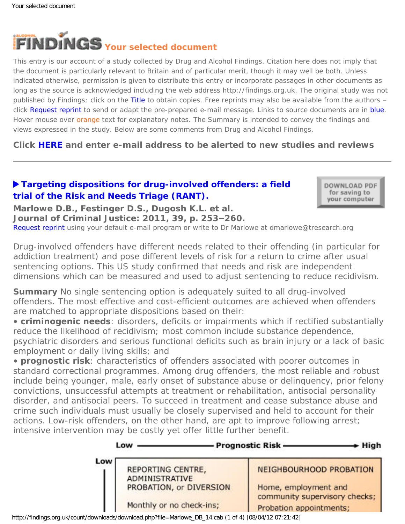

This entry is our account of a study collected by Drug and Alcohol Findings. Citation here does not imply that the document is particularly relevant to Britain and of particular merit, though it may well be both. Unless indicated otherwise, permission is given to distribute this entry or incorporate passages in other documents as long as the source is acknowledged including the web address http://findings.org.uk. The original study was not published by Findings; click on the Title to obtain copies. Free reprints may also be available from the authors – click Request reprint to send or adapt the pre-prepared e-mail message. Links to source documents are in blue. Hover mouse over orange text for explanatory notes. The Summary is intended to convey the findings and views expressed in the study. Below are some comments from Drug and Alcohol Findings.

**Click [HERE](https://findings.org.uk/index.php#signUp) and enter e-mail address to be alerted to new studies and reviews**

# **[Targeting dispositions for drug-involved offenders: a field](http://dx.doi.org/10.1016/j.jcrimjus.2011.02.008) [trial of the Risk and Needs Triage \(RANT\).](http://dx.doi.org/10.1016/j.jcrimjus.2011.02.008)**

DOWNLOAD PDF for saving to your computer

**Marlowe D.B., Festinger D.S., Dugosh K.L. et al. Journal of Criminal Justice: 2011, 39, p. 253–260.**

[Request reprint](mailto:dmarlowe@tresearch.org?Subject=Reprint%20request&body=Dear Dr Marlowe%0A%0AOn the Drug and Alcohol Findings web site (https://findings.org.uk) I read about your article:%0AMarlowe D.B., Festinger D.S., Dugosh K.L. et al. Targeting dispositions for drug-involved offenders: a field trial of the Risk and Needs Triage (RANT). Journal of Criminal Justice: 2011, 39, p. 253-260.%0A%0AWould it be possible to for me to be sent a PDF reprint or the manuscript by replying to this e-mail?%0A) using your default e-mail program or write to Dr Marlowe at dmarlowe@tresearch.org

*Drug-involved offenders have different needs related to their offending (in particular for*  addiction treatment) and pose different levels of risk for a return to crime after usual *sentencing options. This US study confirmed that needs and risk are independent dimensions which can be measured and used to adjust sentencing to reduce recidivism.*

**Summary** No single sentencing option is adequately suited to all drug-involved offenders. The most effective and cost-efficient outcomes are achieved when offenders are matched to appropriate dispositions based on their:

• **criminogenic needs**: disorders, deficits or impairments which if rectified substantially reduce the likelihood of recidivism; most common include substance dependence, psychiatric disorders and serious functional deficits such as brain injury or a lack of basic employment or daily living skills; and

• **prognostic risk**: characteristics of offenders associated with poorer outcomes in standard correctional programmes. Among drug offenders, the most reliable and robust include being younger, male, early onset of substance abuse or delinquency, prior felony convictions, unsuccessful attempts at treatment or rehabilitation, antisocial personality disorder, and antisocial peers. To succeed in treatment and cease substance abuse and crime such individuals must usually be closely supervised and held to account for their actions. Low-risk offenders, on the other hand, are apt to improve following arrest; intensive intervention may be costly yet offer little further benefit.

|     | Low                      | <b>Prognostic Risk-</b><br>- High                     |
|-----|--------------------------|-------------------------------------------------------|
| Low | REPORTING CENTRE,        | NEIGHBOURHOOD PROBATION                               |
|     | <b>ADMINISTRATIVE</b>    |                                                       |
|     | PROBATION, or DIVERSION  | Home, employment and<br>community supervisory checks; |
|     | Monthly or no check-ins; | Probation appointments;                               |

http://findings.org.uk/count/downloads/download.php?file=Marlowe\_DB\_14.cab (1 of 4) [08/04/12 07:21:42]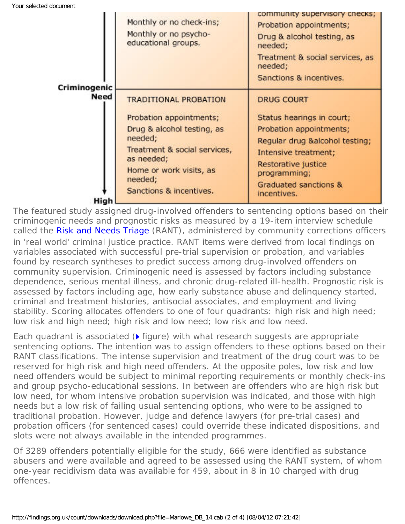| Criminogenic | Monthly or no check-ins;<br>Monthly or no psycho-<br>educational groups.                                                                                                                                        | community supervisory checks;<br>Probation appointments;<br>Drug & alcohol testing, as<br>needed;<br>Treatment & social services, as<br>needed;<br>Sanctions & incentives.                                         |
|--------------|-----------------------------------------------------------------------------------------------------------------------------------------------------------------------------------------------------------------|--------------------------------------------------------------------------------------------------------------------------------------------------------------------------------------------------------------------|
| <b>Need</b>  | <b>TRADITIONAL PROBATION</b><br>Probation appointments;<br>Drug & alcohol testing, as<br>needed;<br>Treatment & social services,<br>as needed;<br>Home or work visits, as<br>needed;<br>Sanctions & incentives. | <b>DRUG COURT</b><br>Status hearings in court;<br>Probation appointments;<br>Regular drug &alcohol testing;<br>Intensive treatment;<br>Restorative justice<br>programming;<br>Graduated sanctions &<br>incentives. |
| High         |                                                                                                                                                                                                                 |                                                                                                                                                                                                                    |

The featured study assigned drug-involved offenders to sentencing options based on their criminogenic needs and prognostic risks as measured by a 19-item interview schedule called the [Risk and Needs Triage](http://www.trirant.org/) (RANT), administered by community corrections officers in 'real world' criminal justice practice. RANT items were derived from local findings on variables associated with successful pre-trial supervision or probation, and variables found by research syntheses to predict success among drug-involved offenders on community supervision. Criminogenic need is assessed by factors including substance dependence, serious mental illness, and chronic drug-related ill-health. Prognostic risk is assessed by factors including age, how early substance abuse and delinquency started, criminal and treatment histories, antisocial associates, and employment and living stability. Scoring allocates offenders to one of four quadrants: high risk and high need; low risk and high need; high risk and low need; low risk and low need.

Each quadrant is associated ( $\triangleright$  *figure*) with what research suggests are appropriate sentencing options. The intention was to assign offenders to these options based on their RANT classifications. The intense supervision and treatment of the drug court was to be reserved for high risk and high need offenders. At the opposite poles, low risk and low need offenders would be subject to minimal reporting requirements or monthly check-ins and group psycho-educational sessions. In between are offenders who are high risk but low need, for whom intensive probation supervision was indicated, and those with high needs but a low risk of failing usual sentencing options, who were to be assigned to traditional probation. However, judge and defence lawyers (for pre-trial cases) and probation officers (for sentenced cases) could override these indicated dispositions, and slots were not always available in the intended programmes.

Of 3289 offenders potentially eligible for the study, 666 were identified as substance abusers and were available and agreed to be assessed using the RANT system, of whom one-year recidivism data was available for 459, about in 8 in 10 charged with drug offences.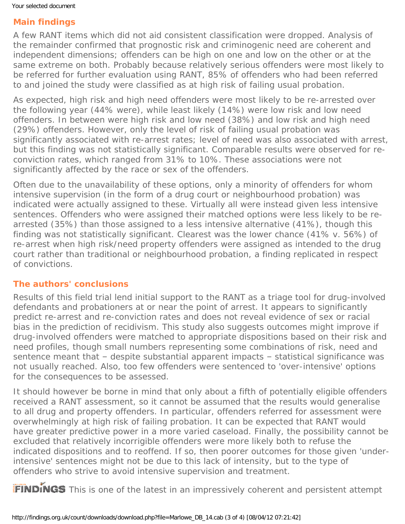## **Main findings**

A few RANT items which did not aid consistent classification were dropped. Analysis of the remainder confirmed that prognostic risk and criminogenic need are coherent and independent dimensions; offenders can be high on one and low on the other or at the same extreme on both. Probably because relatively serious offenders were most likely to be referred for further evaluation using RANT, 85% of offenders who had been referred to and joined the study were classified as at high risk of failing usual probation.

As expected, high risk and high need offenders were most likely to be re-arrested over the following year (44% were), while least likely (14%) were low risk and low need offenders. In between were high risk and low need (38%) and low risk and high need (29%) offenders. However, only the level of risk of failing usual probation was significantly associated with re-arrest rates; level of need was also associated with arrest, but this finding was not statistically significant. Comparable results were observed for reconviction rates, which ranged from 31% to 10%. These associations were not significantly affected by the race or sex of the offenders.

Often due to the unavailability of these options, only a minority of offenders for whom intensive supervision (in the form of a drug court or neighbourhood probation) was indicated were actually assigned to these. Virtually all were instead given less intensive sentences. Offenders who were assigned their matched options were less likely to be rearrested (35%) than those assigned to a less intensive alternative (41%), though this finding was not statistically significant. Clearest was the lower chance (41% v. 56%) of re-arrest when high risk/need property offenders were assigned as intended to the drug court rather than traditional or neighbourhood probation, a finding replicated in respect of convictions.

### **The authors' conclusions**

Results of this field trial lend initial support to the RANT as a triage tool for drug-involved defendants and probationers at or near the point of arrest. It appears to significantly predict re-arrest and re-conviction rates and does not reveal evidence of sex or racial bias in the prediction of recidivism. This study also suggests outcomes might improve if drug-involved offenders were matched to appropriate dispositions based on their risk and need profiles, though small numbers representing some combinations of risk, need and sentence meant that – despite substantial apparent impacts – statistical significance was not usually reached. Also, too few offenders were sentenced to 'over-intensive' options for the consequences to be assessed.

It should however be borne in mind that only about a fifth of potentially eligible offenders received a RANT assessment, so it cannot be assumed that the results would generalise to all drug and property offenders. In particular, offenders referred for assessment were overwhelmingly at high risk of failing probation. It can be expected that RANT would have greater predictive power in a more varied caseload. Finally, the possibility cannot be excluded that relatively incorrigible offenders were more likely both to refuse the indicated dispositions and to reoffend. If so, then poorer outcomes for those given 'underintensive' sentences might not be due to this lack of intensity, but to the type of offenders who strive to avoid intensive supervision and treatment.

FINDINGS This is one of the latest in an impressively coherent and persistent attempt